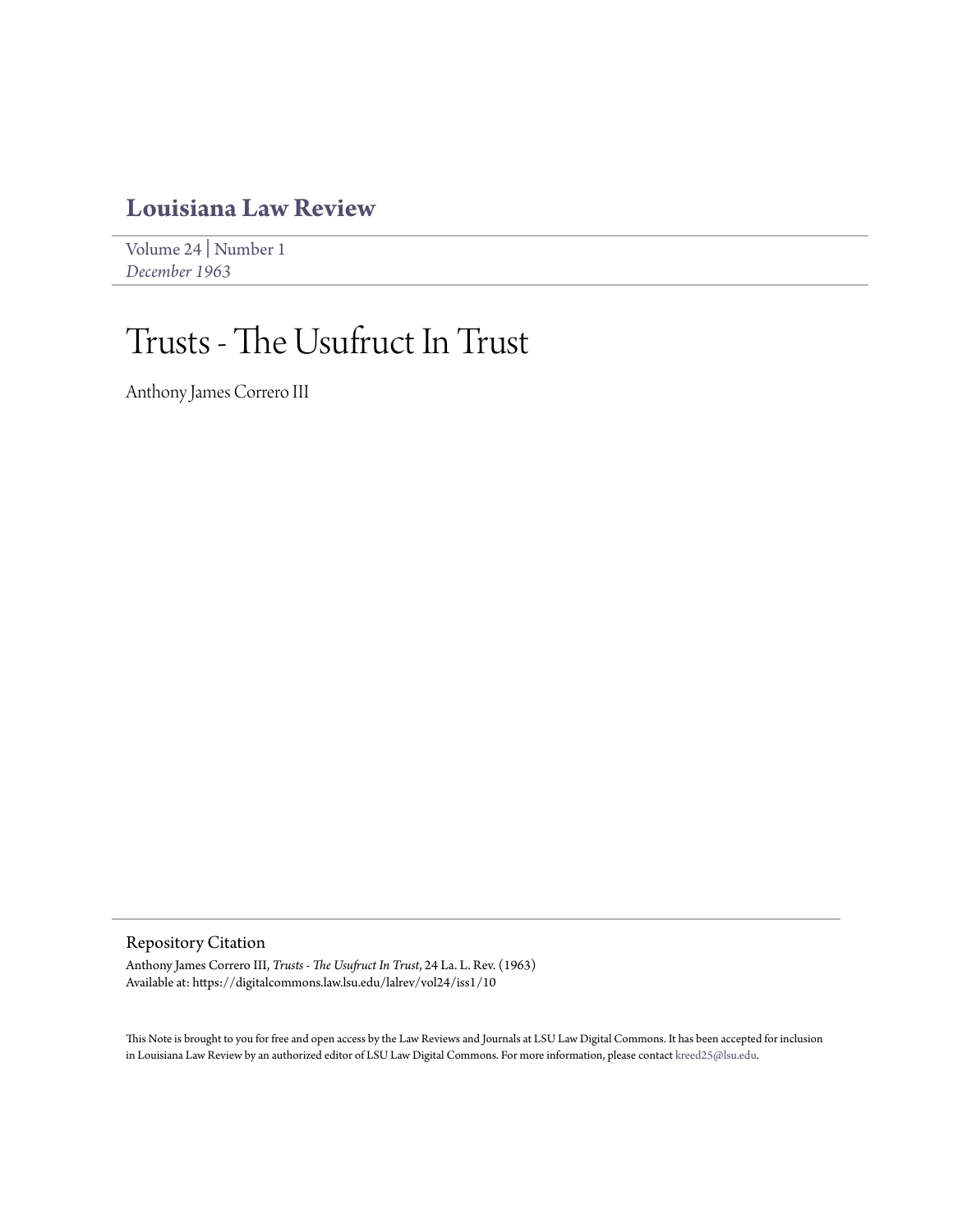## **[Louisiana Law Review](https://digitalcommons.law.lsu.edu/lalrev)**

[Volume 24](https://digitalcommons.law.lsu.edu/lalrev/vol24) | [Number 1](https://digitalcommons.law.lsu.edu/lalrev/vol24/iss1) *[December 1963](https://digitalcommons.law.lsu.edu/lalrev/vol24/iss1)*

# Trusts - The Usufruct In Trust

Anthony James Correro III

Repository Citation

Anthony James Correro III, *Trusts - The Usufruct In Trust*, 24 La. L. Rev. (1963) Available at: https://digitalcommons.law.lsu.edu/lalrev/vol24/iss1/10

This Note is brought to you for free and open access by the Law Reviews and Journals at LSU Law Digital Commons. It has been accepted for inclusion in Louisiana Law Review by an authorized editor of LSU Law Digital Commons. For more information, please contact [kreed25@lsu.edu](mailto:kreed25@lsu.edu).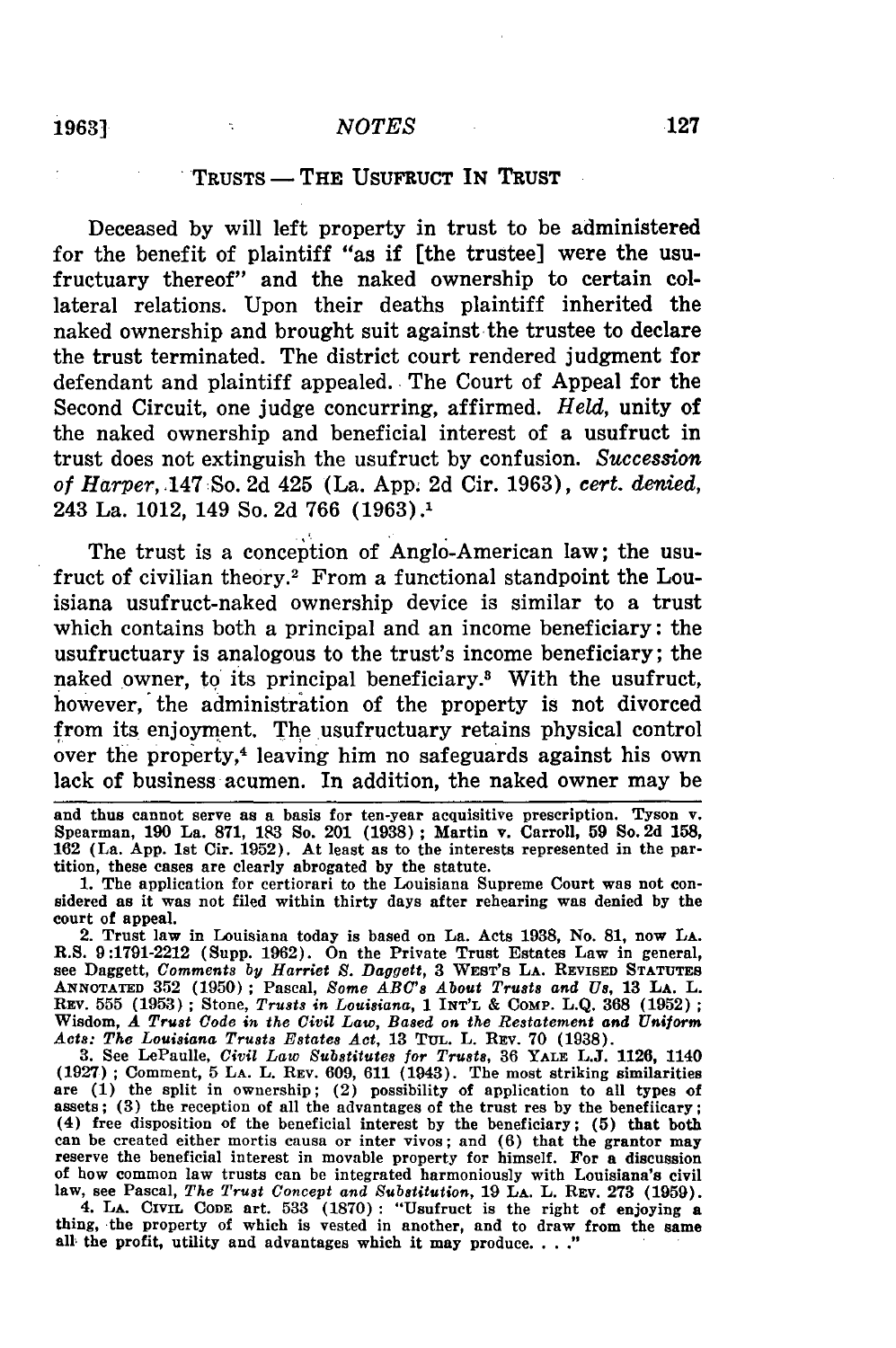### TRUSTS **-** THE **USUFRUCT IN** TRUST

Deceased **by** will left property in trust to be administered for the benefit of plaintiff "as if [the trustee] were the usufructuary thereof" and the naked ownership to certain collateral relations. Upon their deaths plaintiff inherited the naked ownership and brought suit against the trustee to declare the trust terminated. The district court rendered judgment for defendant and plaintiff appealed. The Court of Appeal for the Second Circuit, one judge concurring, affirmed. *Held,* unity of the naked ownership and beneficial interest of a usufruct in trust does not extinguish the usufruct by confusion. *Succession of Harper,* .147:So. 2d 425 (La. App. 2d Cir. 1963), cert. *denied,* 243 La. 1012, 149 So. 2d 766 (1963).1

The trust is a conception of Anglo-American law; the usufruct of civilian theory.2 From a functional standpoint the Louisiana usufruct-naked ownership device is similar to a trust which contains both a principal and an income beneficiary: the usufructuary is analogous to the trust's income beneficiary; the naked owner, to its principal beneficiary.<sup>3</sup> With the usufruct, however, the administration of the property is not divorced from its enjoyment. The usufructuary retains physical control over the property,<sup>4</sup> leaving him no safeguards against his own lack of business acumen. In addition, the naked owner may be

and thus cannot serve as a basis for ten-year acquisitive prescription. Tyson v. Spearman, **190** La. **871, 183** So. 201 **(1938);** Martin v. Carroll, **59** So. **2d 158, 162** (La. **App. 1st** Cir. **1952).** At least as to the interests represented in the partition, these cases are clearly abrogated **by** the statute.

**1.** The application for certiorari to the Louisiana Supreme Court was not con- sidered as it was not filed within thirty days after rehearing was denied **by** the court of appeal.

2. Trust law in Louisiana today is based on La. Acts **1938,** No. **81,** now **LA.** R.S. **9:1791-2212** (Supp. **1962).** On the Private Trust Estates Law in general, see Daggett, *Comments by Harriet S. Daggett,* **3 WEST'S LA. REVISED STATUTES ANNOTATED 352 (1950) ;** Pascal, *Some* **ABC's** *About Trusts and Us,* **13 LA.** L. REv. **555 (1953) ;** Stone, *Trusts in Louisiana,* 1 **INT'L &** COMP. **L.Q. 368 (1952) ;** Wisdom, *A Trust Code in the Civil Law, Based on the Restatement and Uniform Acts: The Louisiana Trusts Estates Act,* **13 TuL.** L. **REV. 70 (1938).**

**3.** See LePaulle, *Civil Law Substitutes for Trusts,* **36 YALE L.J. 1126,** 1140 (1927) ; Comment, **5** LA. L. **REV.** 609, 611 (1943). The most striking similarities are **(1)** the split in ownership; (2) possibility of application to all types **of** assets; **(3)** the reception of all the advantages of the trust res by the benefiicary; (4) free disposition of the beneficial interest by the beneficiary; **(5)** that both can be created either mortis causa or inter vivos; and **(6)** that the grantor may reserve the beneficial interest in movable property for himself. For a discussion of how common law trusts can be integrated harmoniously with Louisiana's civil law, see Pascal, *The Trust Concept and Substitution,* 19 **LA.** L. **REV. 273 (1959).**

4. **LA. CIVIL CODE** art. **533 (1870) :** "Usufruct is the right of enjoying a thing, the property of which is vested in another, and to draw from the same **all** the profit, utility and advantages which it may produce ..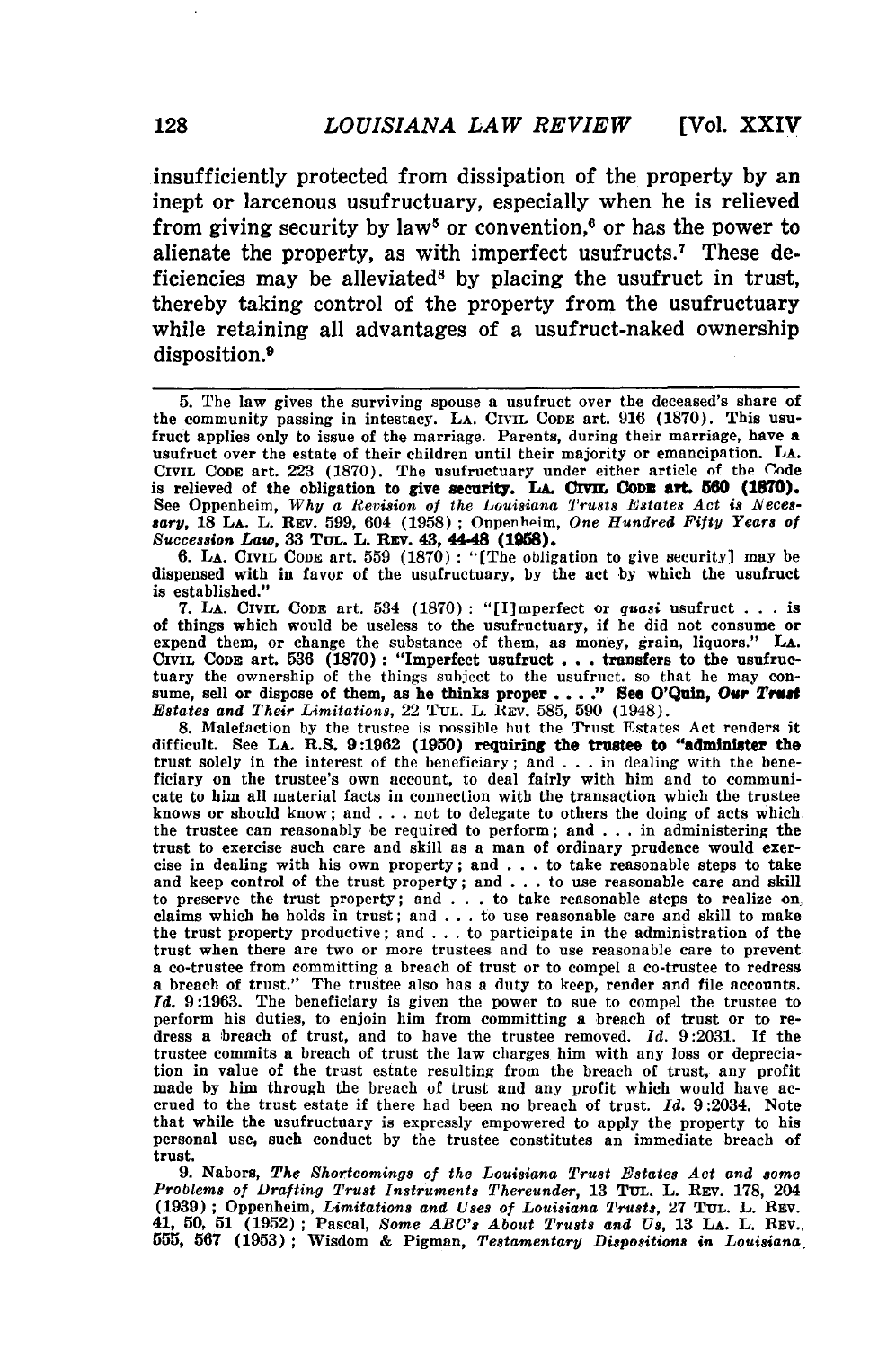insufficiently protected from dissipation of the property **by** an inept or larcenous usufructuary, especially when he is relieved from giving security by law<sup>5</sup> or convention,<sup>6</sup> or has the power to alienate the property, as with imperfect usufructs.7 These deficiencies may be alleviated<sup>8</sup> by placing the usufruct in trust, thereby taking control of the property from the usufructuary while retaining all advantages of a usufruct-naked ownership disposition.9

**6. LA. CIVIL CODE** art. **559 (1870) :** "[The obligation to give security] may be dispensed with in favor of the usufructuary, **by** the act **by** which the usufruct is established."

**7. LA. CIVIL CODE** art. 534 **(1870) :** "[I]mperfect or *quasi* usufruct **. . .** is of things which would be useless to the usufructuary, if he did not consume or expend them, or change the substance of them, as money, grain, liquors." **LA.** CIVIL **CODE** art. **536 (1870):** "Imperfect usufruct **. . .** transfers to the usufructuary the ownership of the things subject to the usufruct. so that he may con- sume, sell or dispose of them, as he thinks proper ... ." See O'Quin, Our *Trust Estates and Their Limitations,* 22 TUL. L. REV. **585, 590** (1948).

**8.** Malefaction **by** the trustee is nossible but the Trust Estates Act renders it difficult. See LA. R.S. 9:1962 (1950) requiring the trustee to "administer the trust solely in the interest of the beneficiary; and **. . .** in dealing with the bene-ficiary on the trustee's own account, to deal fairly with him and to communicate to him all material facts in connection with the transaction which the trustee knows or should know; and **. . .** not to delegate to others the doing of acts which the trustee can reasonably be required to perform; and **. . .** in administering the trust to exercise such care and skill as a man of ordinary prudence would exercise in dealing with his own property; and **. . .** to take reasonable steps to take and keep control of the trust property; and **. . .** to use reasonable care and skill to preserve the trust property; and **. . .** to take reasonable steps to realize on claims which he holds in trust; and **. . .** to use reasonable care and skill to make the trust property productive; and **. . .** to participate in the administration of the trust when there are two or more trustees and to use reasonable care to prevent **a** co-trustee from committing a breach of trust or to compel a co-trustee to redress **a** breach of trust." The trustee also has a duty to keep, render and file accounts. *Id.* **9:1963.** The beneficiary is given the power to sue to compel the trustee to perform his duties, to enjoin him from committing a breach of trust or to redress a breach of trust, and to have the trustee removed. *Id.* **9:2031.** If the trustee commits a breach of trust the law charges him with any loss or depreciation in value of the trust estate resulting from the breach of trust, any profit made **by** him through the breach of trust and any profit which would have accrued to the trust estate if there had been no breach of trust. *Id.* 9:2034. Note that while the usufructuary is expressly empowered to apply the property to his personal use, such conduct **by** the trustee constitutes an immediate breach of trust.

**9.** Nabors, *The Shortcomings of the Louisiana Trust Estates Act and some Problems of Drafting Trust Instruments Thereunder,* **13 TUL.** L. REV. 178, 204 **(1939) ;** Oppenheim, *Limitations and Uses of Louisiana Trusts,* **27** TUL. L. REV. 41, **50, 51 (1952) ;** Pascal, *Some ABC's About Trusts and Us,* **13 LA. L. REV., 555, 567 (1953) ;** Wisdom **& Pigman,** *Testamentary Dispositions in Louisiana*

**<sup>5.</sup>** The law gives the surviving spouse a usufruct over the deceased's share of the community passing in intestacy. **LA.** CIVIL **CODE** art. **916 (1870).** This usufruct applies only to issue of the marriage. Parents, during their marriage, have a usufruct over the estate of their children until their majority or emancipation. **LA. CIVIL CODE** art. **223 (1870).** The usufructuary under either article of the Code is relieved of the obligation to give security. LA. CIVIL CODE art. 560 (1870). See Oppenheim, *Why a Revision of the Louisiana Trusts Estates Act is Necessary,* **18 LA. L. REv. 599,** 604 (1958) **;** Onpenhnim, *One Hundred Fifty Years of Succession Law,* **33** TuL. L. REv. **43, 44-48 (198).**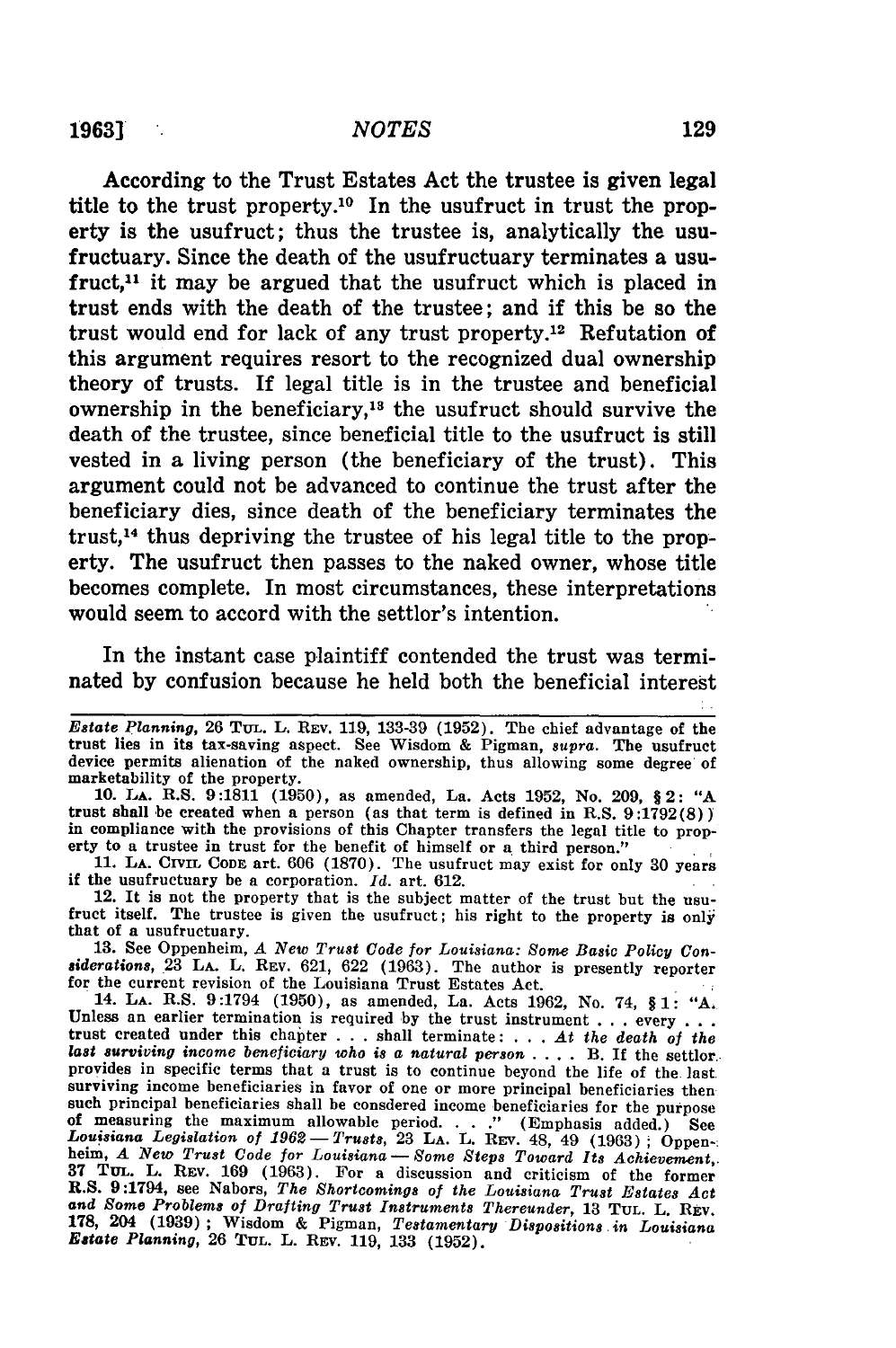#### *NOTES*

According to the Trust Estates Act the trustee is given legal title to the trust property.<sup>10</sup> In the usufruct in trust the property is the usufruct; thus the trustee is, analytically the usufructuary. Since the death of the usufructuary terminates a usufruct,<sup>11</sup> it may be argued that the usufruct which is placed in trust ends with the death of the trustee; and if this be so the trust would end for lack of any trust property.<sup>12</sup> Refutation of this argument requires resort to the recognized dual ownership theory of trusts. If legal title is in the trustee and beneficial ownership in the beneficiary, $18$  the usufruct should survive the death of the trustee, since beneficial title to the usufruct is still vested in a living person (the beneficiary of the trust). This argument could not be advanced to continue the trust after the beneficiary dies, since death of the beneficiary terminates the trust,<sup>14</sup> thus depriving the trustee of his legal title to the property. The usufruct then passes to the naked owner, whose title becomes complete. In most circumstances, these interpretations would seem to accord with the settlor's intention.

In the instant case plaintiff contended the trust was terminated **by** confusion because he held both the beneficial interest

*Estate Planning,* 26 **TuL.** L. REV. 119, 133-39 **(1952).** The chief advantage of the trust lies in its tax-saving aspect. See Wisdom & Pigman, supra. The usufruct device permits alienation of the naked ownership, thus allowing some degree of marketability of the property.

**10. LA.** R.S. 9:1811 **(1950),** as amended, La. Acts 1952, No. 209, **§** 2: "A trust shall be created when a person (as that term is defined in R.S. 9:1792(8)) in compliance with the provisions of this Chapter transfers the legal title to property to a trustee in trust for the benefit of himself or a third person."

**11. LA.** CIVIL **CODE** art. 606 (1870). The usufruct may exist for only 30 years if the usufructuary be a corporation. *Id.* art. 612.

12. It is not the property that is the subject matter of the trust **but** the usu- fruct itself. The trustee is given the usufruct; his right to the property is only that of a usufructuary.

**13.** See Oppenheim, *A New Trust Code for Louisiana: Some Basic Policy* Con*siderations,* 23 LA. L. REV. 621, 622 (1963). The author is presently reporter for the current revision of the Louisiana Trust Estates Act.

14. **LA.** R.S. 9:1794 (1950), as amended, La. Acts 1962, No. 74, § **1: "A.** Unless an earlier termination is required by the trust instrument . . . every . . . **trust** created under this chapter . . . shall terminate: . . . *At the death of the* last surviving income beneficiary who is a natural person . . . . B. If the settlor. provides in specific terms that a trust is to continue beyond the life of the last surviving income beneficiaries in favor of one or more principal beneficiaries then such principal beneficiaries shall be consdered income beneficiaries for the purpose *Louisiana Legislation of 1962- Trusts,* **23 LA.** L. REv. 48, 49 **(1963)** Oppen-: helm, *A New Trust Code for Louisiana* -Some *Steps Toward Its Achievement,.* **37** TuL. L. REV. 169 (1963). For a discussion and criticism of the former R.S. 9:1794, see Nabors, *The Shortcomings of the Louisiana Trust Estates Act and Some Problems of Drafting Trust Instruments Thereunder,* 13 **TUL.** L. **REV.** 178, 204 (1939) ; Wisdom & Pigman, *Testamentary Dispositions in Louisiana Estate Planning,* 26 **TUL.** L. **REV.** 119, 133 (1952).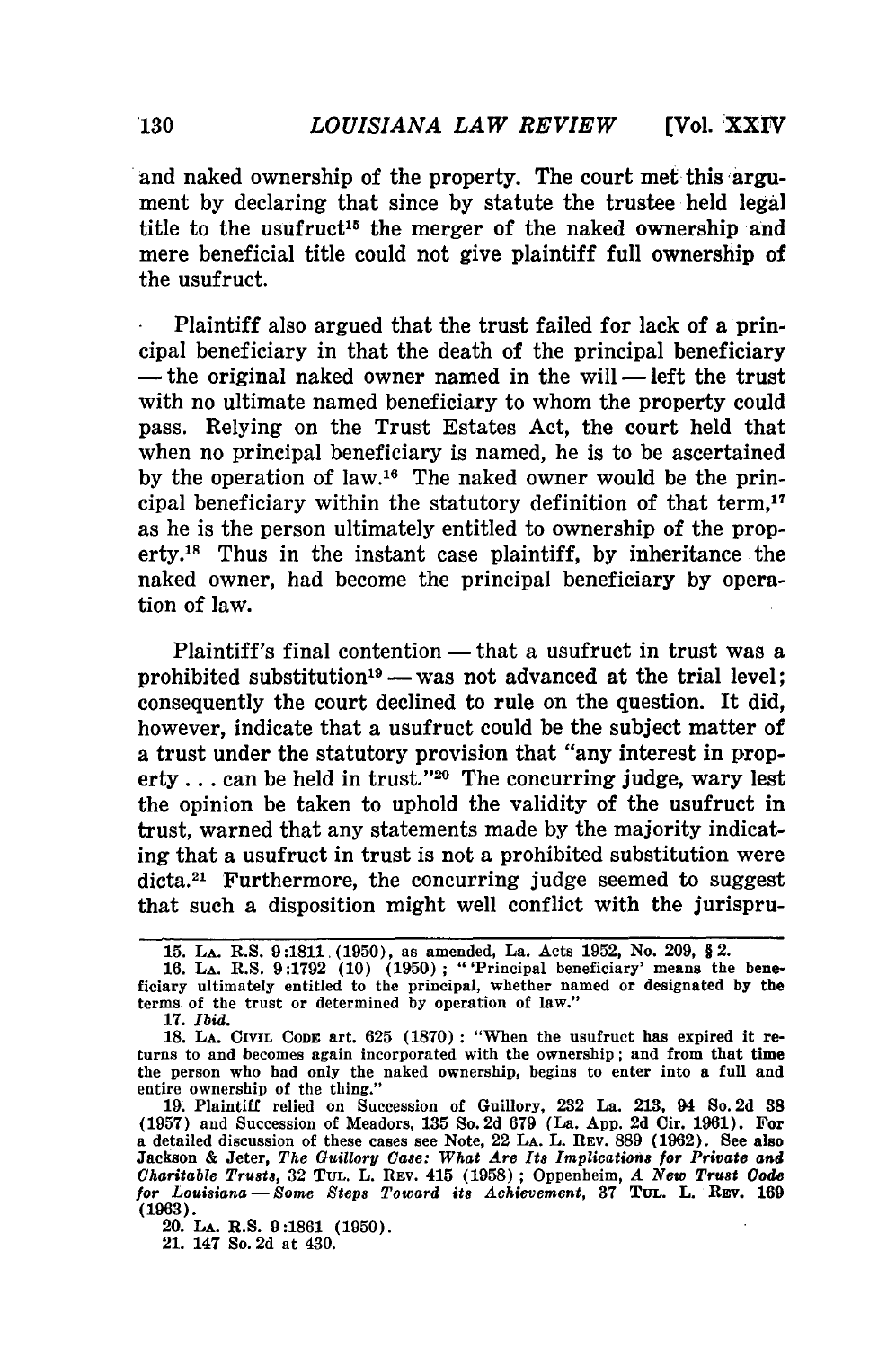**[Vol. XXIr¢**

and naked ownership of the property. The court met this argument **by** declaring that since **by** statute the trustee held legal title to the usufruct<sup>15</sup> the merger of the naked ownership and mere beneficial title could not give plaintiff full ownership of the usufruct.

Plaintiff also argued that the trust failed for lack of a principal beneficiary in that the death of the principal beneficiary  $-$  the original naked owner named in the will  $-$  left the trust with no ultimate named beneficiary to whom the property could pass. Relying on the Trust Estates Act, the court held that when no principal beneficiary is named, he is to be ascertained by the operation of law.<sup>16</sup> The naked owner would be the principal beneficiary within the statutory definition of that **term,17** as he is the person ultimately entitled to ownership of the property.18 Thus in the instant case plaintiff, **by** inheritance the naked owner, had become the principal beneficiary by operation of law.

Plaintiff's final contention  $-$  that a usufruct in trust was a prohibited substitution<sup>19</sup> - was not advanced at the trial level; consequently the court declined to rule on the question. It did, however, indicate that a usufruct could be the subject matter of a trust under the statutory provision that "any interest in property... can be held in trust."<sup>20</sup> The concurring judge, wary lest the opinion be taken to uphold the validity of the usufruct in trust, warned that any statements made **by** the majority indicating that a usufruct in trust is not a prohibited substitution were dicta.<sup>21</sup> Furthermore, the concurring judge seemed to suggest that such a disposition might well conflict with the jurispru-

**17.** *Ibid.*

21. 147 So. **2d** at 430.

**<sup>15.</sup> LA.** R.S. **9:1811. (1950),** as amended, La. Acts **1952,** No. **209, §2. 16. LA.** R.S. **9:1792 (10) (1950) ;** "'Principal beneficiary' means the bene-

ficiary ultimately entitled to the principal, whether named or designated **by** the terms of the trust or determined **by** operation of law."

**<sup>18.</sup> LA.** CIVIL **CODE** art. **625 (1870) :** "When the usufruct has expired it returns to and becomes again incorporated with the ownership; and from that time the person who had only the naked ownership, begins to enter into a full and entire ownership of the thing."

**<sup>19.</sup>** Plaintiff relied on Succession of Guillory, **232** La. **213,** 94 So. 2d **38 (1957)** and Succession of Meadors, **135** So. 2d **679** (La. **App. 2d** Cir. **1961).** For a detailed discussion of these cases see Note, 22 **LA.** L. **REV. 889 (1962).** See also Jackson **&** Jeter, *The Guillory* Case: *What Are Its Implications for Private and Charitable Trusts,* **32 TUL.** L. **REV.** 415 **(1958) ;** Oppenheim, *A New Trust Code for Louisiana-Some Steps Toward its Achievement,* **37 TUL.** L. REv. **169 (1963).**

<sup>20.</sup> **LA.** R.S. **9:1861 (1950).**